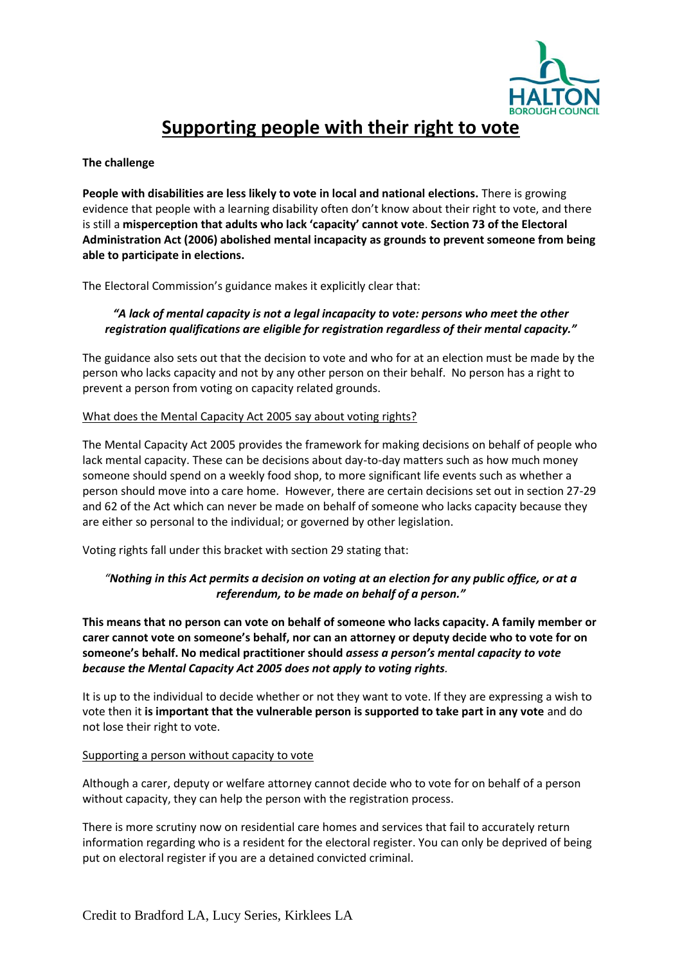

# **Supporting people with their right to vote**

#### **The challenge**

**People with disabilities are less likely to vote in local and national elections.** There is growing evidence that people with a learning disability often don't know about their right to vote, and there is still a **misperception that adults who lack 'capacity' cannot vote**. **Section 73 of the Electoral Administration Act (2006) abolished mental incapacity as grounds to prevent someone from being able to participate in elections.**

The Electoral Commission's guidance makes it explicitly clear that:

### *"A lack of mental capacity is not a legal incapacity to vote: persons who meet the other registration qualifications are eligible for registration regardless of their mental capacity."*

The guidance also sets out that the decision to vote and who for at an election must be made by the person who lacks capacity and not by any other person on their behalf. No person has a right to prevent a person from voting on capacity related grounds.

#### What does the Mental Capacity Act 2005 say about voting rights?

The Mental Capacity Act 2005 provides the framework for making decisions on behalf of people who lack mental capacity. These can be decisions about day-to-day matters such as how much money someone should spend on a weekly food shop, to more significant life events such as whether a person should move into a care home. However, there are certain decisions set out in section 27-29 and 62 of the Act which can never be made on behalf of someone who lacks capacity because they are either so personal to the individual; or governed by other legislation.

Voting rights fall under this bracket with section 29 stating that:

## *"Nothing in this Act permits a decision on voting at an election for any public office, or at a referendum, to be made on behalf of a person."*

**This means that no person can vote on behalf of someone who lacks capacity. A family member or carer cannot vote on someone's behalf, nor can an attorney or deputy decide who to vote for on someone's behalf. No medical practitioner should** *assess a person's mental capacity to vote because the Mental Capacity Act 2005 does not apply to voting rights.*

It is up to the individual to decide whether or not they want to vote. If they are expressing a wish to vote then it **is important that the vulnerable person is supported to take part in any vote** and do not lose their right to vote.

#### Supporting a person without capacity to vote

Although a carer, deputy or welfare attorney cannot decide who to vote for on behalf of a person without capacity, they can help the person with the registration process.

There is more scrutiny now on residential care homes and services that fail to accurately return information regarding who is a resident for the electoral register. You can only be deprived of being put on electoral register if you are a detained convicted criminal.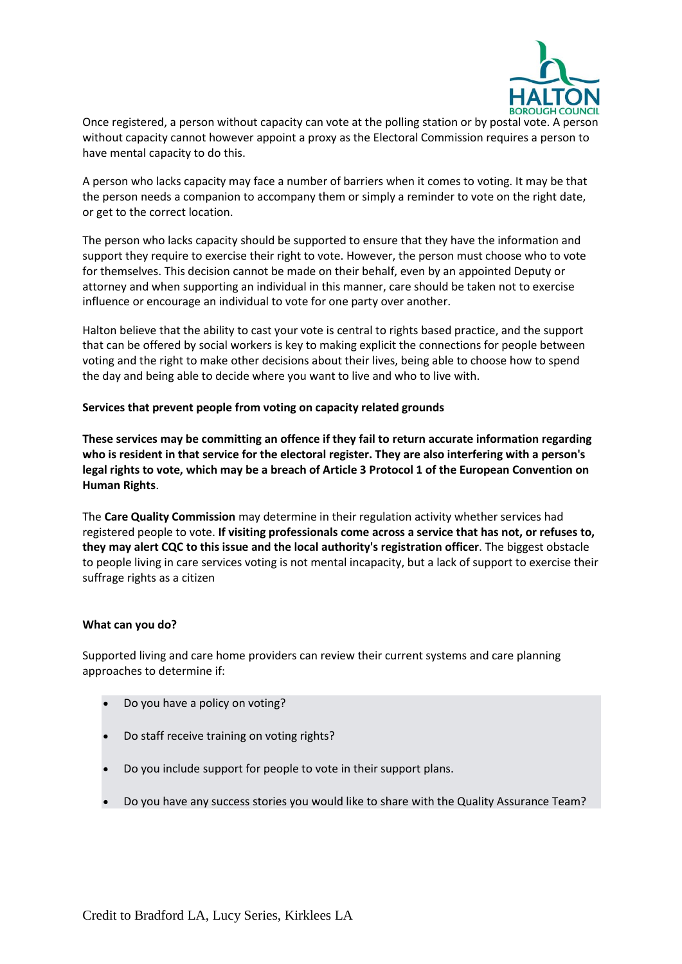

Once registered, a person without capacity can vote at the polling station or by postal vote. A person without capacity cannot however appoint a proxy as the Electoral Commission requires a person to have mental capacity to do this.

A person who lacks capacity may face a number of barriers when it comes to voting. It may be that the person needs a companion to accompany them or simply a reminder to vote on the right date, or get to the correct location.

The person who lacks capacity should be supported to ensure that they have the information and support they require to exercise their right to vote. However, the person must choose who to vote for themselves. This decision cannot be made on their behalf, even by an appointed Deputy or attorney and when supporting an individual in this manner, care should be taken not to exercise influence or encourage an individual to vote for one party over another.

Halton believe that the ability to cast your vote is central to rights based practice, and the support that can be offered by social workers is key to making explicit the connections for people between voting and the right to make other decisions about their lives, being able to choose how to spend the day and being able to decide where you want to live and who to live with.

**Services that prevent people from voting on capacity related grounds**

**These services may be committing an offence if they fail to return accurate information regarding who is resident in that service for the electoral register. They are also interfering with a person's legal rights to vote, which may be a breach of Article 3 Protocol 1 of the European Convention on Human Rights**.

The **Care Quality Commission** may determine in their regulation activity whether services had registered people to vote. **If visiting professionals come across a service that has not, or refuses to, they may alert CQC to this issue and the local authority's registration officer**. The biggest obstacle to people living in care services voting is not mental incapacity, but a lack of support to exercise their suffrage rights as a citizen

#### **What can you do?**

Supported living and care home providers can review their current systems and care planning approaches to determine if:

- Do you have a policy on voting?
- Do staff receive training on voting rights?
- Do you include support for people to vote in their support plans.
- Do you have any success stories you would like to share with the Quality Assurance Team?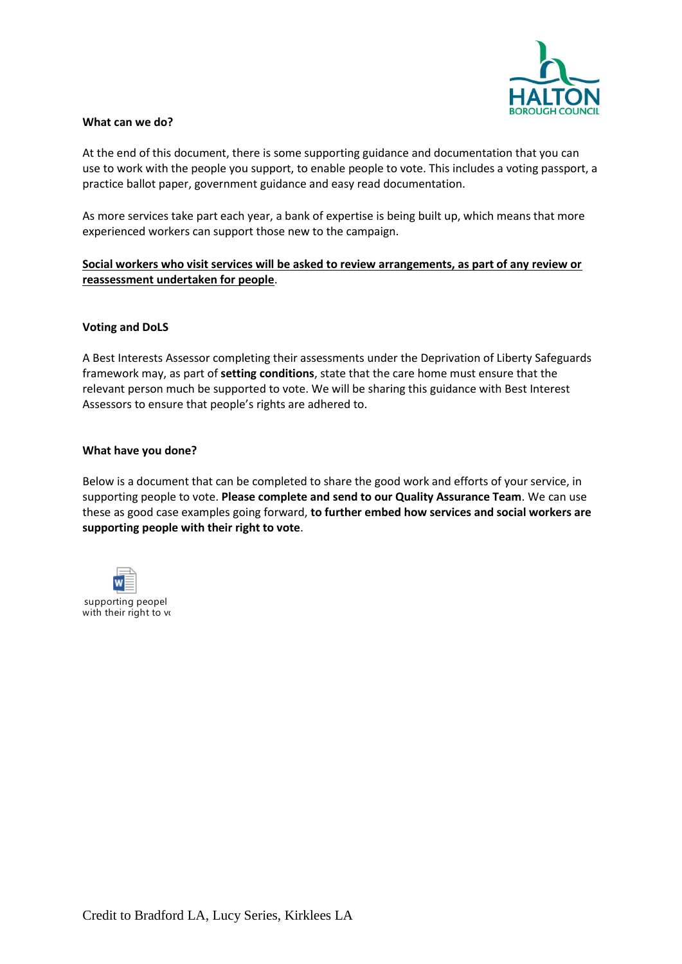

#### **What can we do?**

At the end of this document, there is some supporting guidance and documentation that you can use to work with the people you support, to enable people to vote. This includes a voting passport, a practice ballot paper, government guidance and easy read documentation.

As more services take part each year, a bank of expertise is being built up, which means that more experienced workers can support those new to the campaign.

**Social workers who visit services will be asked to review arrangements, as part of any review or reassessment undertaken for people**.

#### **Voting and DoLS**

A Best Interests Assessor completing their assessments under the Deprivation of Liberty Safeguards framework may, as part of **setting conditions**, state that the care home must ensure that the relevant person much be supported to vote. We will be sharing this guidance with Best Interest Assessors to ensure that people's rights are adhered to.

#### **What have you done?**

Below is a document that can be completed to share the good work and efforts of your service, in supporting people to vote. **Please complete and send to our Quality Assurance Team**. We can use these as good case examples going forward, **to further embed how services and social workers are supporting people with their right to vote**.